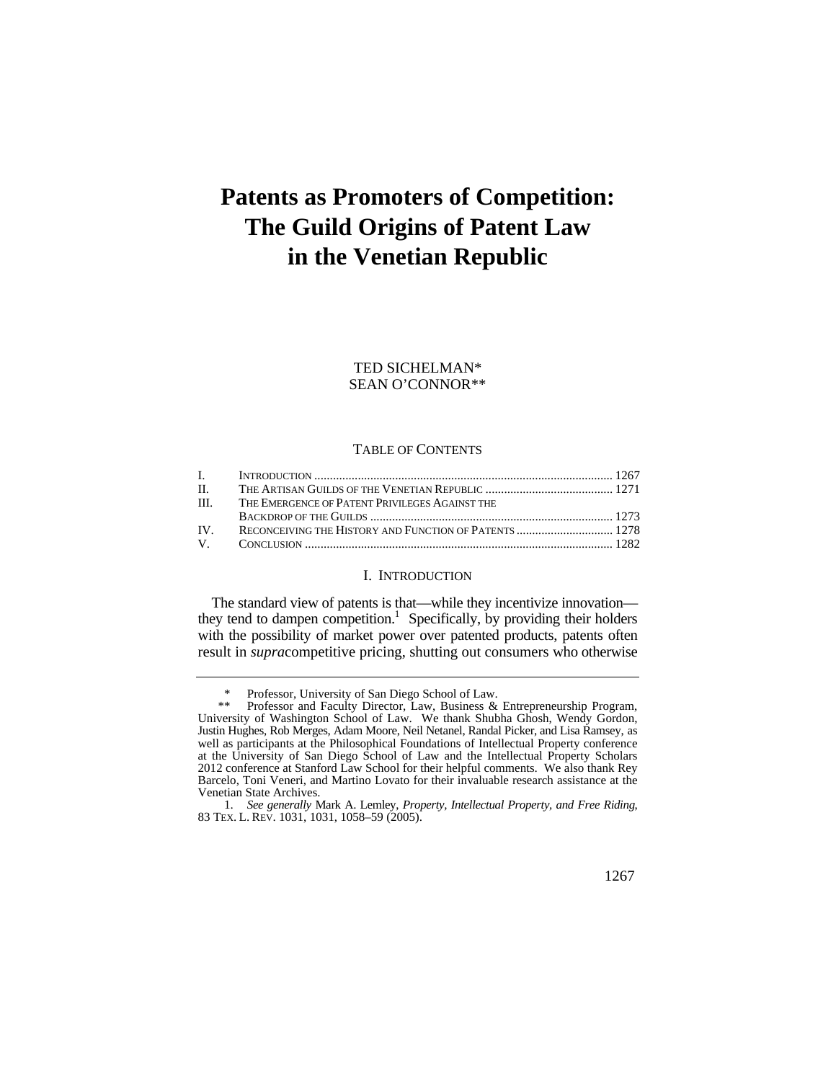# **Patents as Promoters of Competition: The Guild Origins of Patent Law in the Venetian Republic**

TED SICHELMAN\* SEAN O'CONNOR\*\*

#### TABLE OF CONTENTS

| $\Pi$ .          |                                                |  |
|------------------|------------------------------------------------|--|
| $\mathbf{III}$ . | THE EMERGENCE OF PATENT PRIVILEGES AGAINST THE |  |
|                  |                                                |  |
| $IV_{-}$         |                                                |  |
|                  |                                                |  |

## I. INTRODUCTION

 result in *supra*competitive pricing, shutting out consumers who otherwise The standard view of patents is that—while they incentivize innovation they tend to dampen competition.<sup>1</sup> Specifically, by providing their holders with the possibility of market power over patented products, patents often

<sup>\*</sup> Professor, University of San Diego School of Law.<br>\*\* Professor and Faculty Director, Law. Business &

 Justin Hughes, Rob Merges, Adam Moore, Neil Netanel, Randal Picker, and Lisa Ramsey, as Venetian State Archives. Professor and Faculty Director, Law, Business & Entrepreneurship Program, University of Washington School of Law. We thank Shubha Ghosh, Wendy Gordon, well as participants at the Philosophical Foundations of Intellectual Property conference at the University of San Diego School of Law and the Intellectual Property Scholars 2012 conference at Stanford Law School for their helpful comments. We also thank Rey Barcelo, Toni Veneri, and Martino Lovato for their invaluable research assistance at the

<sup>83</sup> TEX. L. REV. 1031, 1031, 1058-59 (2005). 1. See generally Mark A. Lemley, *Property, Intellectual Property, and Free Riding*,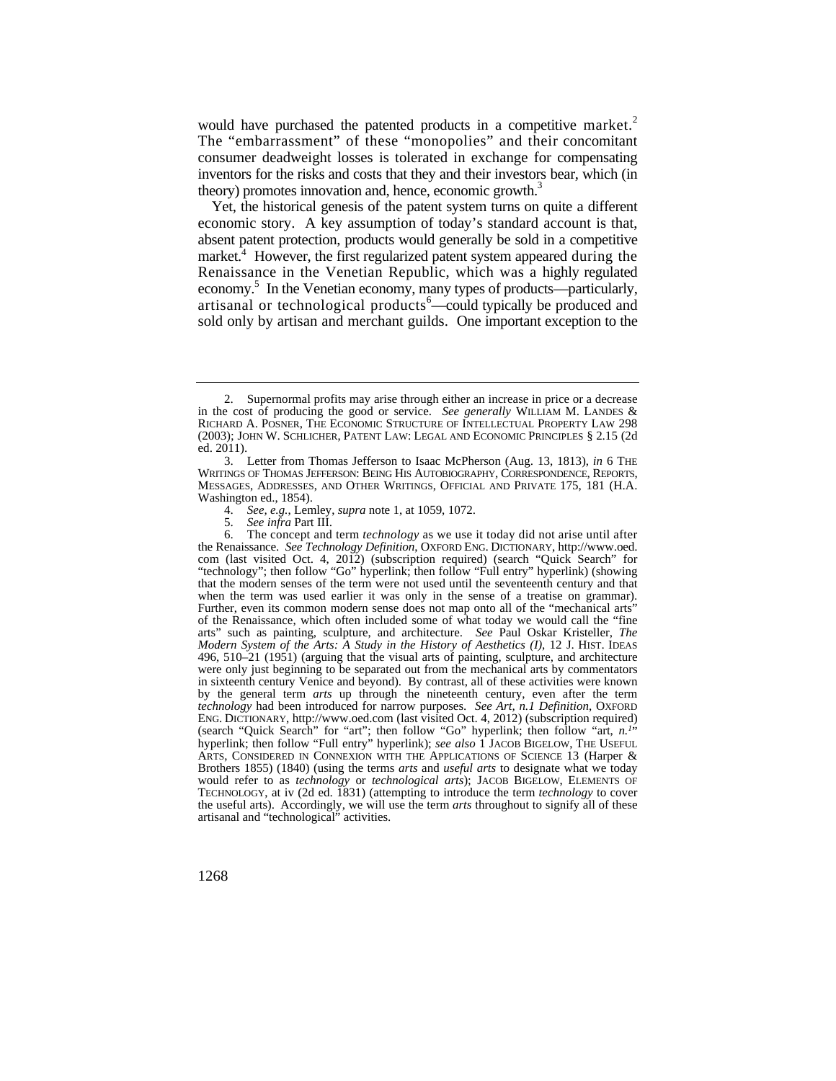would have purchased the patented products in a competitive market.<sup>2</sup> inventors for the risks and costs that they and their investors bear, which (in The "embarrassment" of these "monopolies" and their concomitant consumer deadweight losses is tolerated in exchange for compensating theory) promotes innovation and, hence, economic growth.<sup>3</sup>

market.<sup>4</sup> However, the first regularized patent system appeared during the Renaissance in the Venetian Republic, which was a highly regulated sold only by artisan and merchant guilds. One important exception to the Yet, the historical genesis of the patent system turns on quite a different economic story. A key assumption of today's standard account is that, absent patent protection, products would generally be sold in a competitive economy.<sup>5</sup> In the Venetian economy, many types of products—particularly, artisanal or technological products<sup>6</sup>—could typically be produced and

- 4. *See, e.g.*, Lemley, *supra* note 1, at 1059, 1072.
- 5. *See infra* Part III.

 RICHARD A. POSNER, THE ECONOMIC STRUCTURE OF INTELLECTUAL PROPERTY LAW 298 2. Supernormal profits may arise through either an increase in price or a decrease in the cost of producing the good or service. *See generally* WILLIAM M. LANDES & (2003); JOHN W. SCHLICHER, PATENT LAW: LEGAL AND ECONOMIC PRINCIPLES § 2.15 (2d ed. 2011).

 WRITINGS OF THOMAS JEFFERSON: BEING HIS AUTOBIOGRAPHY, CORRESPONDENCE, REPORTS, 3. Letter from Thomas Jefferson to Isaac McPherson (Aug. 13, 1813), *in* 6 THE MESSAGES, ADDRESSES, AND OTHER WRITINGS, OFFICIAL AND PRIVATE 175, 181 (H.A. Washington ed., 1854).

when the term was used earlier it was only in the sense of a treatise on grammar). *Modern System of the Arts: A Study in the History of Aesthetics (I)*, 12 J. HIST. IDEAS 6. The concept and term *technology* as we use it today did not arise until after the Renaissance. *See Technology Definition*, OXFORD ENG. DICTIONARY, http://www.oed. com (last visited Oct. 4, 2012) (subscription required) (search "Quick Search" for "technology"; then follow "Go" hyperlink; then follow "Full entry" hyperlink) (showing that the modern senses of the term were not used until the seventeenth century and that Further, even its common modern sense does not map onto all of the "mechanical arts" of the Renaissance, which often included some of what today we would call the "fine arts" such as painting, sculpture, and architecture. *See* Paul Oskar Kristeller, *The*  496, 510–21 (1951) (arguing that the visual arts of painting, sculpture, and architecture were only just beginning to be separated out from the mechanical arts by commentators in sixteenth century Venice and beyond). By contrast, all of these activities were known by the general term *arts* up through the nineteenth century, even after the term *technology* had been introduced for narrow purposes. *See Art, n.1 Definition*, OXFORD ENG. DICTIONARY, http://www.oed.com (last visited Oct. 4, 2012) (subscription required) (search "Quick Search" for "art"; then follow "Go" hyperlink; then follow "art, *n*.<sup>1</sup>" hyperlink; then follow "Full entry" hyperlink); *see also* 1 JACOB BIGELOW, THE USEFUL ARTS, CONSIDERED IN CONNEXION WITH THE APPLICATIONS OF SCIENCE 13 (Harper & Brothers 1855) (1840) (using the terms *arts* and *useful arts* to designate what we today would refer to as *technology* or *technological arts*); JACOB BIGELOW, ELEMENTS OF TECHNOLOGY, at iv (2d ed. 1831) (attempting to introduce the term *technology* to cover the useful arts). Accordingly, we will use the term *arts* throughout to signify all of these artisanal and "technological" activities.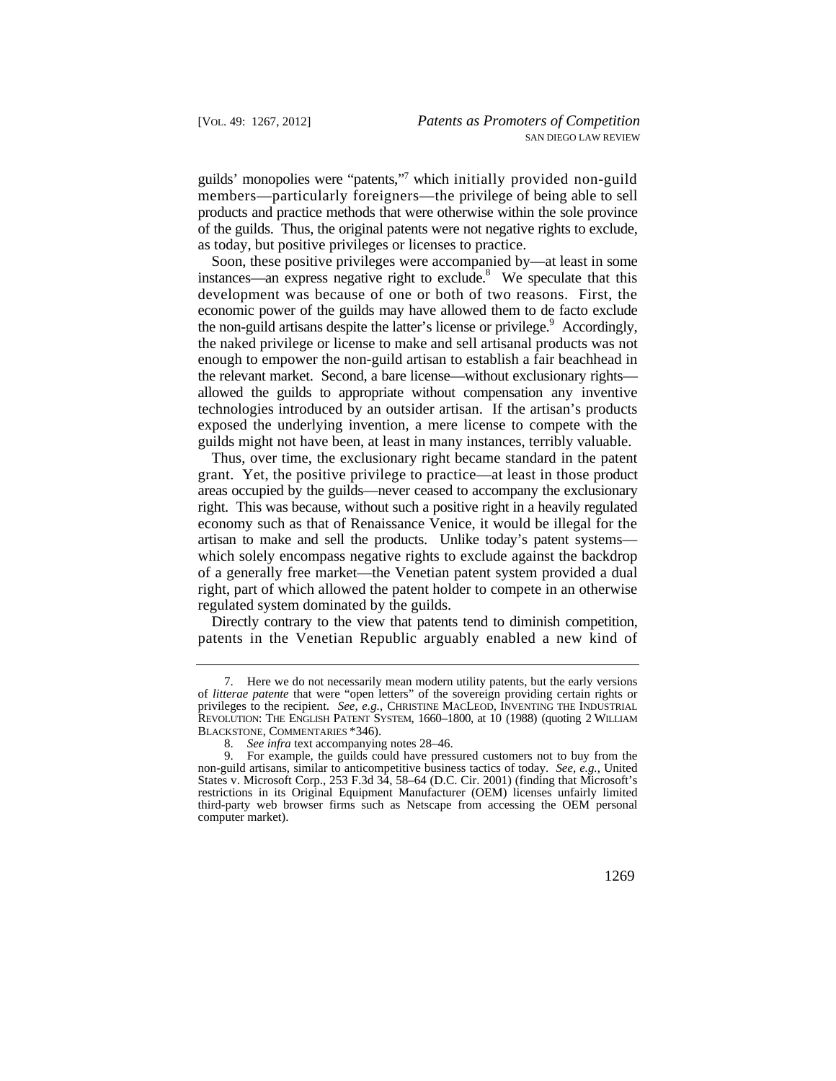guilds' monopolies were "patents,"7 which initially provided non-guild members—particularly foreigners—the privilege of being able to sell products and practice methods that were otherwise within the sole province of the guilds. Thus, the original patents were not negative rights to exclude, as today, but positive privileges or licenses to practice.

instances—an express negative right to exclude.<sup>8</sup> We speculate that this allowed the guilds to appropriate without compensation any inventive Soon, these positive privileges were accompanied by—at least in some development was because of one or both of two reasons. First, the economic power of the guilds may have allowed them to de facto exclude the non-guild artisans despite the latter's license or privilege.<sup>9</sup> Accordingly, the naked privilege or license to make and sell artisanal products was not enough to empower the non-guild artisan to establish a fair beachhead in the relevant market. Second, a bare license—without exclusionary rights technologies introduced by an outsider artisan. If the artisan's products exposed the underlying invention, a mere license to compete with the guilds might not have been, at least in many instances, terribly valuable.

 grant. Yet, the positive privilege to practice—at least in those product Thus, over time, the exclusionary right became standard in the patent areas occupied by the guilds—never ceased to accompany the exclusionary right. This was because, without such a positive right in a heavily regulated economy such as that of Renaissance Venice, it would be illegal for the artisan to make and sell the products. Unlike today's patent systems which solely encompass negative rights to exclude against the backdrop of a generally free market—the Venetian patent system provided a dual right, part of which allowed the patent holder to compete in an otherwise regulated system dominated by the guilds.

 Directly contrary to the view that patents tend to diminish competition, patents in the Venetian Republic arguably enabled a new kind of

 privileges to the recipient. *See, e.g.*, CHRISTINE MACLEOD, INVENTING THE INDUSTRIAL 7. Here we do not necessarily mean modern utility patents, but the early versions of *litterae patente* that were "open letters" of the sovereign providing certain rights or REVOLUTION: THE ENGLISH PATENT SYSTEM, 1660–1800, at 10 (1988) (quoting 2 WILLIAM BLACKSTONE, COMMENTARIES \*346).

<sup>8.</sup> *See infra* text accompanying notes 28–46.

 non-guild artisans, similar to anticompetitive business tactics of today. *See, e.g.*, United 9. For example, the guilds could have pressured customers not to buy from the States v. Microsoft Corp., 253 F.3d 34, 58–64 (D.C. Cir. 2001) (finding that Microsoft's restrictions in its Original Equipment Manufacturer (OEM) licenses unfairly limited third-party web browser firms such as Netscape from accessing the OEM personal computer market).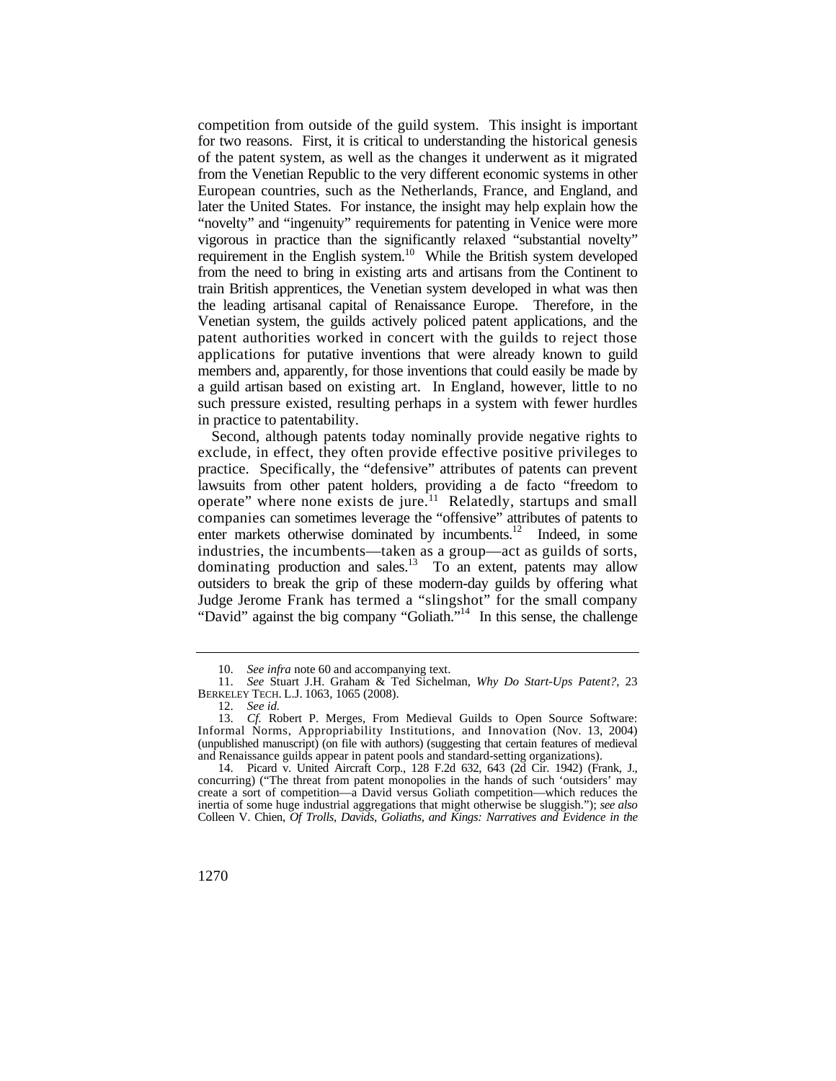European countries, such as the Netherlands, France, and England, and competition from outside of the guild system. This insight is important for two reasons. First, it is critical to understanding the historical genesis of the patent system, as well as the changes it underwent as it migrated from the Venetian Republic to the very different economic systems in other later the United States. For instance, the insight may help explain how the "novelty" and "ingenuity" requirements for patenting in Venice were more vigorous in practice than the significantly relaxed "substantial novelty" requirement in the English system.<sup>10</sup> While the British system developed from the need to bring in existing arts and artisans from the Continent to train British apprentices, the Venetian system developed in what was then the leading artisanal capital of Renaissance Europe. Therefore, in the Venetian system, the guilds actively policed patent applications, and the patent authorities worked in concert with the guilds to reject those applications for putative inventions that were already known to guild members and, apparently, for those inventions that could easily be made by a guild artisan based on existing art. In England, however, little to no such pressure existed, resulting perhaps in a system with fewer hurdles in practice to patentability.

operate" where none exists de jure.<sup>11</sup> Relatedly, startups and small Judge Jerome Frank has termed a "slingshot" for the small company Second, although patents today nominally provide negative rights to exclude, in effect, they often provide effective positive privileges to practice. Specifically, the "defensive" attributes of patents can prevent lawsuits from other patent holders, providing a de facto "freedom to companies can sometimes leverage the "offensive" attributes of patents to enter markets otherwise dominated by incumbents.<sup>12</sup> Indeed, in some industries, the incumbents—taken as a group—act as guilds of sorts, dominating production and sales. $13$  To an extent, patents may allow outsiders to break the grip of these modern-day guilds by offering what "David" against the big company "Goliath."<sup>14</sup> In this sense, the challenge

<sup>10.</sup> *See infra* note 60 and accompanying text.

 BERKELEY TECH. L.J. 1063, 1065 (2008). 11. *See* Stuart J.H. Graham & Ted Sichelman, *Why Do Start-Ups Patent?*, 23

<sup>12.</sup> *See id.* 

 Informal Norms, Appropriability Institutions, and Innovation (Nov. 13, 2004) 13. *Cf.* Robert P. Merges, From Medieval Guilds to Open Source Software: (unpublished manuscript) (on file with authors) (suggesting that certain features of medieval and Renaissance guilds appear in patent pools and standard-setting organizations).

<sup>14.</sup> Picard v. United Aircraft Corp., 128 F.2d 632, 643 (2d Cir. 1942) (Frank, J., concurring) ("The threat from patent monopolies in the hands of such 'outsiders' may create a sort of competition—a David versus Goliath competition—which reduces the inertia of some huge industrial aggregations that might otherwise be sluggish."); *see also*  Colleen V. Chien, *Of Trolls, Davids, Goliaths, and Kings: Narratives and Evidence in the*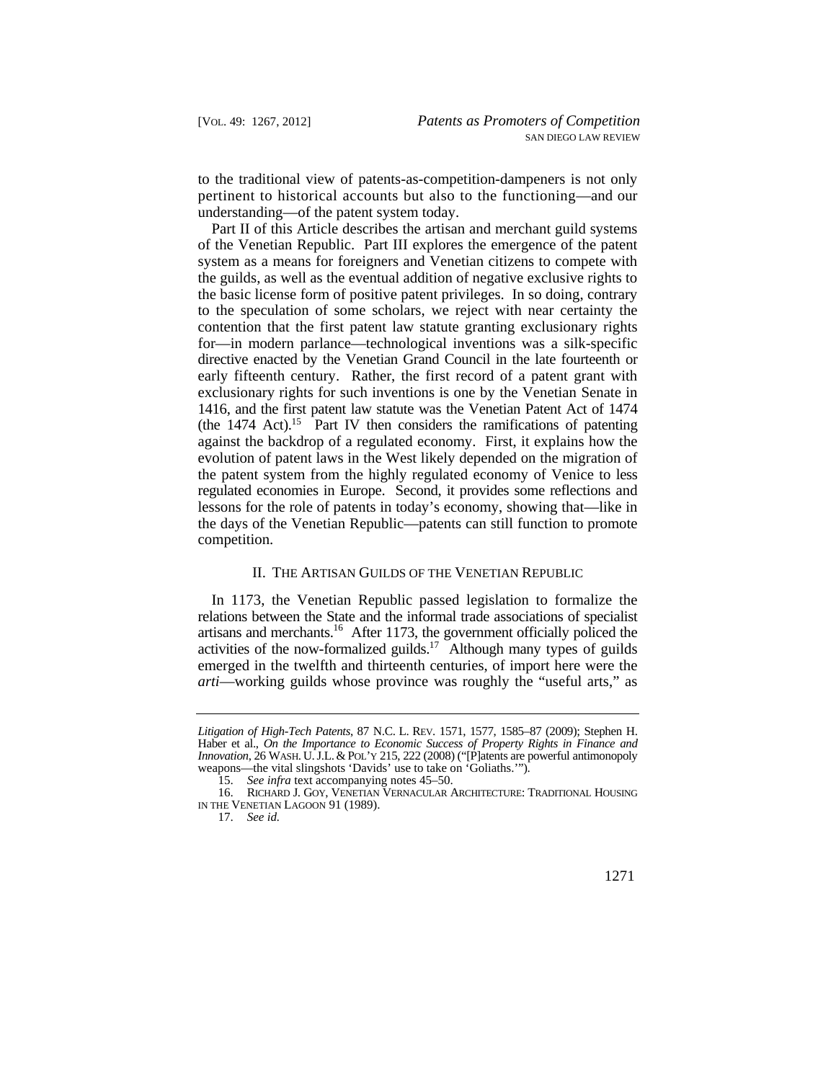pertinent to historical accounts but also to the functioning—and our to the traditional view of patents-as-competition-dampeners is not only understanding—of the patent system today.

Part II of this Article describes the artisan and merchant guild systems of the Venetian Republic. Part III explores the emergence of the patent system as a means for foreigners and Venetian citizens to compete with the guilds, as well as the eventual addition of negative exclusive rights to the basic license form of positive patent privileges. In so doing, contrary to the speculation of some scholars, we reject with near certainty the contention that the first patent law statute granting exclusionary rights for—in modern parlance—technological inventions was a silk-specific directive enacted by the Venetian Grand Council in the late fourteenth or early fifteenth century. Rather, the first record of a patent grant with exclusionary rights for such inventions is one by the Venetian Senate in 1416, and the first patent law statute was the Venetian Patent Act of 1474 (the  $1474$  Act).<sup>15</sup> Part IV then considers the ramifications of patenting against the backdrop of a regulated economy. First, it explains how the evolution of patent laws in the West likely depended on the migration of the patent system from the highly regulated economy of Venice to less regulated economies in Europe. Second, it provides some reflections and lessons for the role of patents in today's economy, showing that—like in the days of the Venetian Republic—patents can still function to promote competition.

# II. THE ARTISAN GUILDS OF THE VENETIAN REPUBLIC

activities of the now-formalized guilds.<sup>17</sup> Although many types of guilds In 1173, the Venetian Republic passed legislation to formalize the relations between the State and the informal trade associations of specialist artisans and merchants.<sup>16</sup> After 1173, the government officially policed the emerged in the twelfth and thirteenth centuries, of import here were the *arti*—working guilds whose province was roughly the "useful arts," as

 *Litigation of High-Tech Patents*, 87 N.C. L. REV. 1571, 1577, 1585–87 (2009); Stephen H. *Innovation*, 26 WASH. U. J.L. & POL'Y 215, 222 (2008) ("[P]atents are powerful antimonopoly Haber et al., *On the Importance to Economic Success of Property Rights in Finance and*  weapons—the vital slingshots 'Davids' use to take on 'Goliaths.'").

<sup>15.</sup> *See infra* text accompanying notes 45–50.

 16. RICHARD J. GOY, VENETIAN VERNACULAR ARCHITECTURE: TRADITIONAL HOUSING IN THE VENETIAN LAGOON 91 (1989).

<sup>17.</sup> *See id.*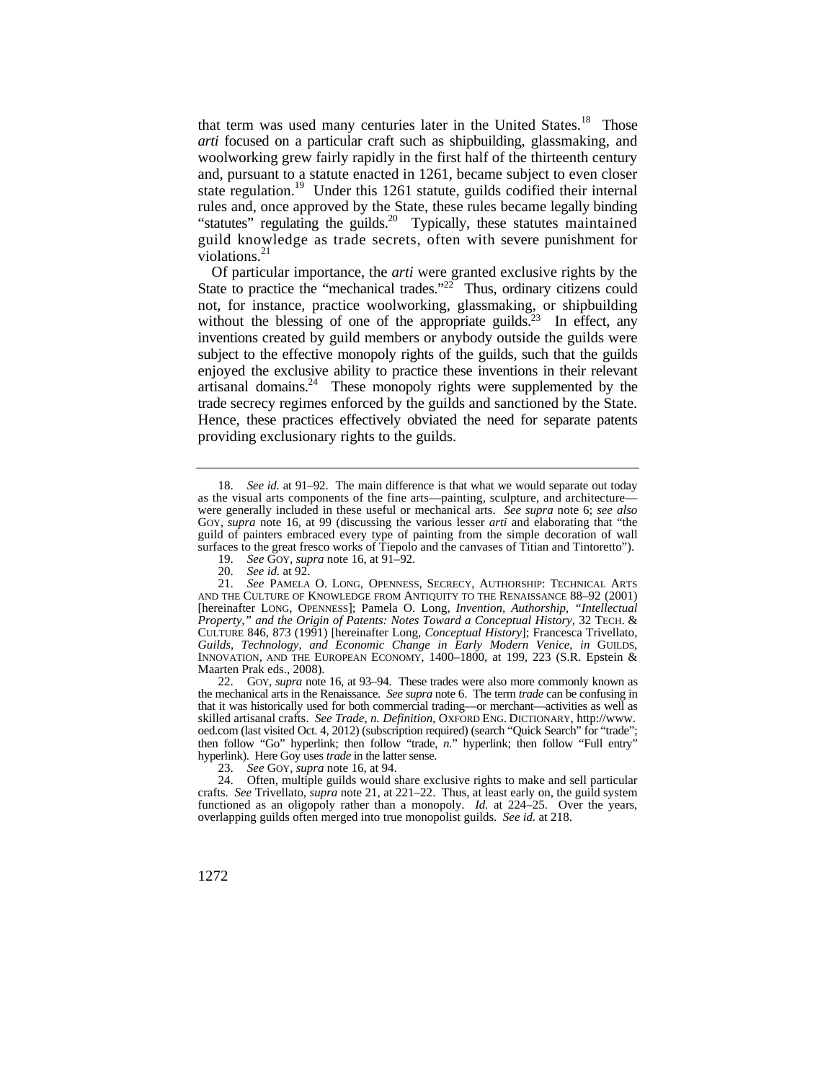rules and, once approved by the State, these rules became legally binding "statutes" regulating the guilds.<sup>20</sup> Typically, these statutes maintained guild knowledge as trade secrets, often with severe punishment for that term was used many centuries later in the United States.<sup>18</sup> Those *arti* focused on a particular craft such as shipbuilding, glassmaking, and woolworking grew fairly rapidly in the first half of the thirteenth century and, pursuant to a statute enacted in 1261, became subject to even closer state regulation.<sup>19</sup> Under this 1261 statute, guilds codified their internal violations.<sup>21</sup>

trade secrecy regimes enforced by the guilds and sanctioned by the State. Of particular importance, the *arti* were granted exclusive rights by the State to practice the "mechanical trades." $22^{\circ}$  Thus, ordinary citizens could not, for instance, practice woolworking, glassmaking, or shipbuilding without the blessing of one of the appropriate guilds.<sup>23</sup> In effect, any inventions created by guild members or anybody outside the guilds were subject to the effective monopoly rights of the guilds, such that the guilds enjoyed the exclusive ability to practice these inventions in their relevant artisanal domains.24 These monopoly rights were supplemented by the Hence, these practices effectively obviated the need for separate patents providing exclusionary rights to the guilds.

 the mechanical arts in the Renaissance. *See supra* note 6. The term *trade* can be confusing in that it was historically used for both commercial trading—or merchant—activities as well as skilled artisanal crafts. *See Trade, n. Definition*, OXFORD ENG. DICTIONARY, http://www. then follow "Go" hyperlink; then follow "trade, *n.*" hyperlink; then follow "Full entry" hyperlink). Here Goy uses *trade* in the latter sense. 22. GOY, *supra* note 16, at 93–94. These trades were also more commonly known as oed.com (last visited Oct. 4, 2012) (subscription required) (search "Quick Search" for "trade";

23. *See* GOY, *supra* note 16, at 94.

 crafts. *See* Trivellato, *supra* note 21, at 221–22. Thus, at least early on, the guild system 24. Often, multiple guilds would share exclusive rights to make and sell particular functioned as an oligopoly rather than a monopoly. *Id.* at 224–25. Over the years, overlapping guilds often merged into true monopolist guilds. *See id.* at 218.

 as the visual arts components of the fine arts—painting, sculpture, and architecture— 18. *See id.* at 91–92. The main difference is that what we would separate out today were generally included in these useful or mechanical arts. *See supra* note 6; *see also*  GOY, *supra* note 16, at 99 (discussing the various lesser *arti* and elaborating that "the guild of painters embraced every type of painting from the simple decoration of wall surfaces to the great fresco works of Tiepolo and the canvases of Titian and Tintoretto").

<sup>19.</sup> *See* GOY, *supra* note 16, at 91–92.

<sup>20.</sup> *See id.* at 92.

 *Property," and the Origin of Patents: Notes Toward a Conceptual History*, 32 TECH. & 21. *See* PAMELA O. LONG, OPENNESS, SECRECY, AUTHORSHIP: TECHNICAL ARTS AND THE CULTURE OF KNOWLEDGE FROM ANTIQUITY TO THE RENAISSANCE 88–92 (2001) [hereinafter LONG, OPENNESS]; Pamela O. Long, *Invention, Authorship, "Intellectual*  CULTURE 846, 873 (1991) [hereinafter Long, *Conceptual History*]; Francesca Trivellato, *Guilds, Technology, and Economic Change in Early Modern Venice*, *in* GUILDS, INNOVATION, AND THE EUROPEAN ECONOMY, 1400–1800, at 199, 223 (S.R. Epstein & Maarten Prak eds., 2008).<br>22. Goy. *supra* note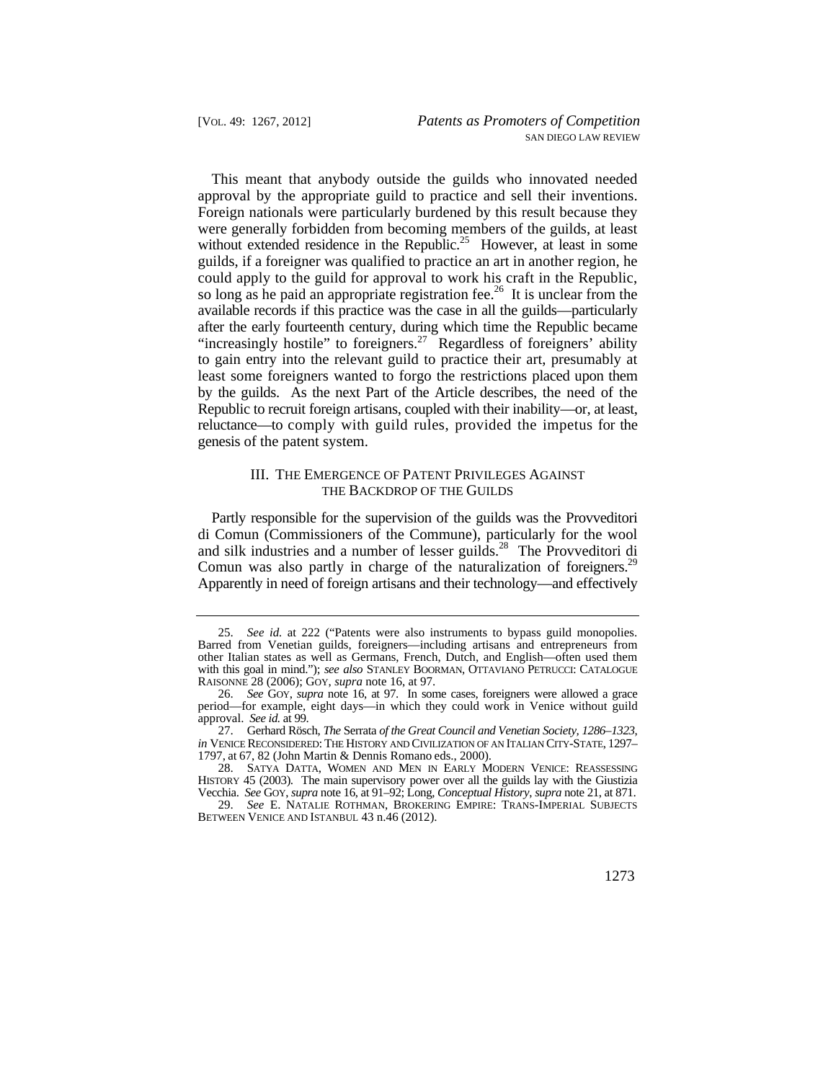could apply to the guild for approval to work his craft in the Republic, reluctance—to comply with guild rules, provided the impetus for the This meant that anybody outside the guilds who innovated needed approval by the appropriate guild to practice and sell their inventions. Foreign nationals were particularly burdened by this result because they were generally forbidden from becoming members of the guilds, at least without extended residence in the Republic.<sup>25</sup> However, at least in some guilds, if a foreigner was qualified to practice an art in another region, he so long as he paid an appropriate registration fee.<sup>26</sup> It is unclear from the available records if this practice was the case in all the guilds—particularly after the early fourteenth century, during which time the Republic became "increasingly hostile" to foreigners.<sup>27</sup> Regardless of foreigners' ability to gain entry into the relevant guild to practice their art, presumably at least some foreigners wanted to forgo the restrictions placed upon them by the guilds. As the next Part of the Article describes, the need of the Republic to recruit foreign artisans, coupled with their inability—or, at least, genesis of the patent system.

# III. THE EMERGENCE OF PATENT PRIVILEGES AGAINST THE BACKDROP OF THE GUILDS

Comun was also partly in charge of the naturalization of foreigners.<sup>29</sup> Partly responsible for the supervision of the guilds was the Provveditori di Comun (Commissioners of the Commune), particularly for the wool and silk industries and a number of lesser guilds.<sup>28</sup> The Provveditori di Apparently in need of foreign artisans and their technology—and effectively

 25. *See id.* at 222 ("Patents were also instruments to bypass guild monopolies. Barred from Venetian guilds, foreigners—including artisans and entrepreneurs from other Italian states as well as Germans, French, Dutch, and English—often used them with this goal in mind."); *see also* STANLEY BOORMAN, OTTAVIANO PETRUCCI: CATALOGUE RAISONNE 28 (2006); GOY, *supra* note 16, at 97.

 26. *See* GOY, *supra* note 16, at 97. In some cases, foreigners were allowed a grace period—for example, eight days—in which they could work in Venice without guild approval. *See id.* at 99.

 27. Gerhard Rösch, *The* Serrata *of the Great Council and Venetian Society, 1286–1323*, 1797, at 67, 82 (John Martin & Dennis Romano eds., 2000). *in* VENICE RECONSIDERED: THE HISTORY AND CIVILIZATION OF AN ITALIAN CITY-STATE, 1297–

 HISTORY 45 (2003). The main supervisory power over all the guilds lay with the Giustizia 28. SATYA DATTA, WOMEN AND MEN IN EARLY MODERN VENICE: REASSESSING Vecchia. *See* GOY, *supra* note 16, at 91–92; Long, *Conceptual History*, *supra* note 21, at 871.

<sup>29.</sup> *See* E. NATALIE ROTHMAN, BROKERING EMPIRE: TRANS-IMPERIAL SUBJECTS BETWEEN VENICE AND ISTANBUL 43 n.46 (2012).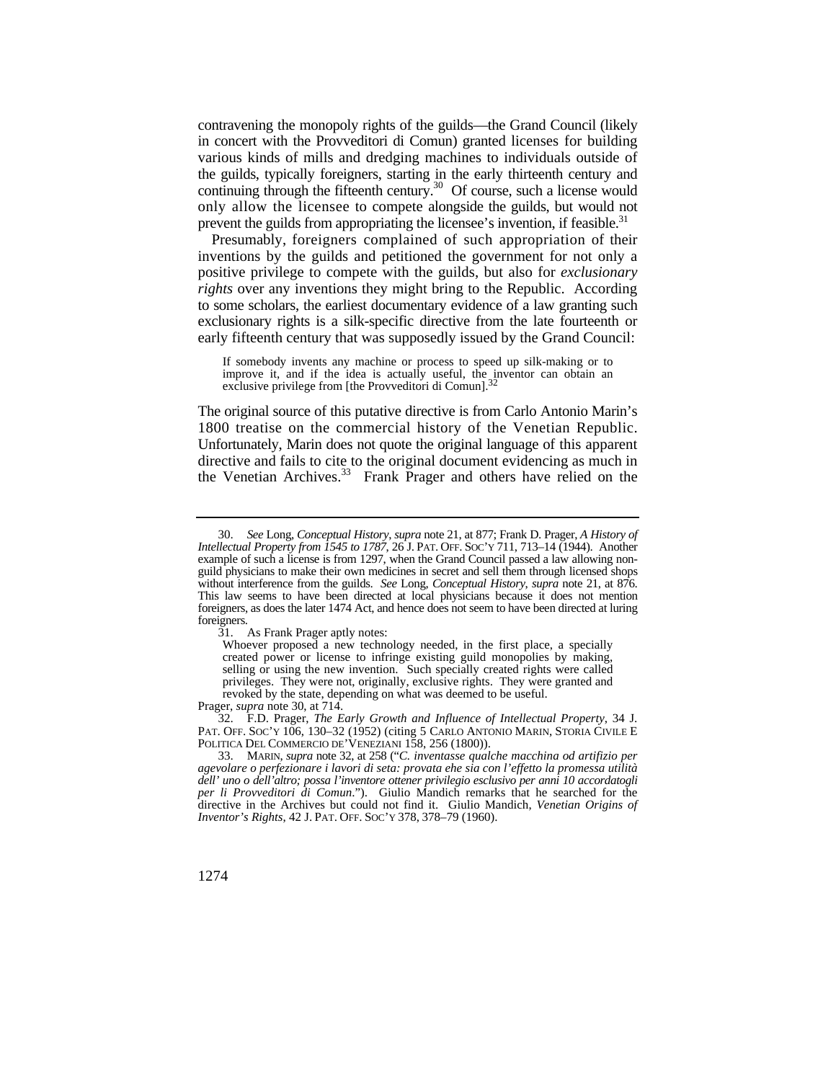only allow the licensee to compete alongside the guilds, but would not contravening the monopoly rights of the guilds—the Grand Council (likely in concert with the Provveditori di Comun) granted licenses for building various kinds of mills and dredging machines to individuals outside of the guilds, typically foreigners, starting in the early thirteenth century and continuing through the fifteenth century.<sup>30</sup> Of course, such a license would prevent the guilds from appropriating the licensee's invention, if feasible.<sup>31</sup>

 Presumably, foreigners complained of such appropriation of their exclusionary rights is a silk-specific directive from the late fourteenth or inventions by the guilds and petitioned the government for not only a positive privilege to compete with the guilds, but also for *exclusionary rights* over any inventions they might bring to the Republic. According to some scholars, the earliest documentary evidence of a law granting such early fifteenth century that was supposedly issued by the Grand Council:

If somebody invents any machine or process to speed up silk-making or to improve it, and if the idea is actually useful, the inventor can obtain an exclusive privilege from [the Provveditori di Comun].<sup>32</sup>

1800 treatise on the commercial history of the Venetian Republic. 1800 treatise on the commercial history of the Venetian Republic. Unfortunately, Marin does not quote the original language of this apparent The original source of this putative directive is from Carlo Antonio Marin's directive and fails to cite to the original document evidencing as much in the Venetian Archives.<sup>33</sup> Frank Prager and others have relied on the

Prager, *supra* note 30, at 714.

 *Intellectual Property from 1545 to 1787*, 26 J. PAT. OFF. SOC'Y 711, 713–14 (1944). Another without interference from the guilds. See Long, Conceptual History, supra note 21, at 876. foreigners, as does the later 1474 Act, and hence does not seem to have been directed at luring 30. *See* Long, *Conceptual History*, *supra* note 21, at 877; Frank D. Prager, *A History of*  example of such a license is from 1297, when the Grand Council passed a law allowing nonguild physicians to make their own medicines in secret and sell them through licensed shops This law seems to have been directed at local physicians because it does not mention foreigners.

<sup>31.</sup> As Frank Prager aptly notes:

 created power or license to infringe existing guild monopolies by making, Whoever proposed a new technology needed, in the first place, a specially selling or using the new invention. Such specially created rights were called privileges. They were not, originally, exclusive rights. They were granted and revoked by the state, depending on what was deemed to be useful.

 32. F.D. Prager, *The Early Growth and Influence of Intellectual Property*, 34 J. PAT. OFF. SOC'Y 106, 130–32 (1952) (citing 5 CARLO ANTONIO MARIN, STORIA CIVILE E POLITICA DEL COMMERCIO DE'VENEZIANI 158, 256 (1800)).

 *Inventor's Rights*, 42 J. PAT. OFF. SOC'Y 378, 378–79 (1960). 33. MARIN, *supra* note 32, at 258 ("*C. inventasse qualche macchina od artifizio per agevolare o perfezionare i lavori di seta: provata ehe sia con l'effetto la promessa utilità dell' uno o dell'altro; possa l'inventore ottener privilegio esclusivo per anni 10 accordatogli per li Provveditori di Comun*."). Giulio Mandich remarks that he searched for the directive in the Archives but could not find it. Giulio Mandich, *Venetian Origins of*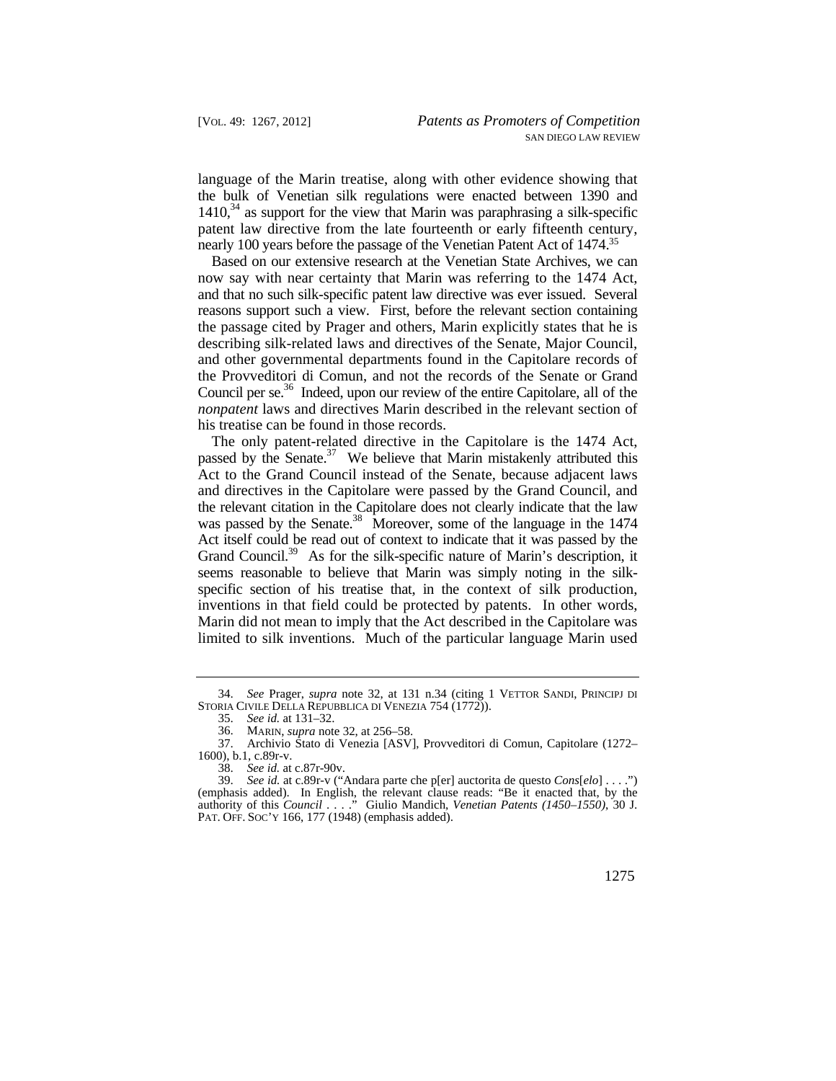language of the Marin treatise, along with other evidence showing that the bulk of Venetian silk regulations were enacted between 1390 and  $1410<sup>34</sup>$  as support for the view that Marin was paraphrasing a silk-specific patent law directive from the late fourteenth or early fifteenth century, nearly 100 years before the passage of the Venetian Patent Act of 1474.<sup>35</sup>

 the Provveditori di Comun, and not the records of the Senate or Grand Council per se.<sup>36</sup> Indeed, upon our review of the entire Capitolare, all of the Based on our extensive research at the Venetian State Archives, we can now say with near certainty that Marin was referring to the 1474 Act, and that no such silk-specific patent law directive was ever issued. Several reasons support such a view. First, before the relevant section containing the passage cited by Prager and others, Marin explicitly states that he is describing silk-related laws and directives of the Senate, Major Council, and other governmental departments found in the Capitolare records of *nonpatent* laws and directives Marin described in the relevant section of his treatise can be found in those records.

 the relevant citation in the Capitolare does not clearly indicate that the law specific section of his treatise that, in the context of silk production, The only patent-related directive in the Capitolare is the 1474 Act, passed by the Senate.<sup>37</sup> We believe that Marin mistakenly attributed this Act to the Grand Council instead of the Senate, because adjacent laws and directives in the Capitolare were passed by the Grand Council, and was passed by the Senate.<sup>38</sup> Moreover, some of the language in the 1474 Act itself could be read out of context to indicate that it was passed by the Grand Council.<sup>39</sup> As for the silk-specific nature of Marin's description, it seems reasonable to believe that Marin was simply noting in the silkinventions in that field could be protected by patents. In other words, Marin did not mean to imply that the Act described in the Capitolare was limited to silk inventions. Much of the particular language Marin used

<sup>34.</sup> *See* Prager, *supra* note 32, at 131 n.34 (citing 1 VETTOR SANDI, PRINCIPJ DI STORIA CIVILE DELLA REPUBBLICA DI VENEZIA 754 (1772)).

<sup>35.</sup> *See id.* at 131–32.

 <sup>36.</sup> MARIN, *supra* note 32, at 256–58.

<sup>37.</sup> Archivio Stato di Venezia [ASV], Provveditori di Comun, Capitolare (1272– 1600), b.1, c.89r-v.

<sup>38.</sup> *See id.* at c.87r-90v.

 PAT. OFF. SOC'Y 166, 177 (1948) (emphasis added). 39. *See id.* at c.89r-v ("Andara parte che p[er] auctorita de questo *Cons*[*elo*] . . . .") (emphasis added). In English, the relevant clause reads: "Be it enacted that, by the authority of this *Council* . . . ." Giulio Mandich, *Venetian Patents (1450*–*1550)*, 30 J.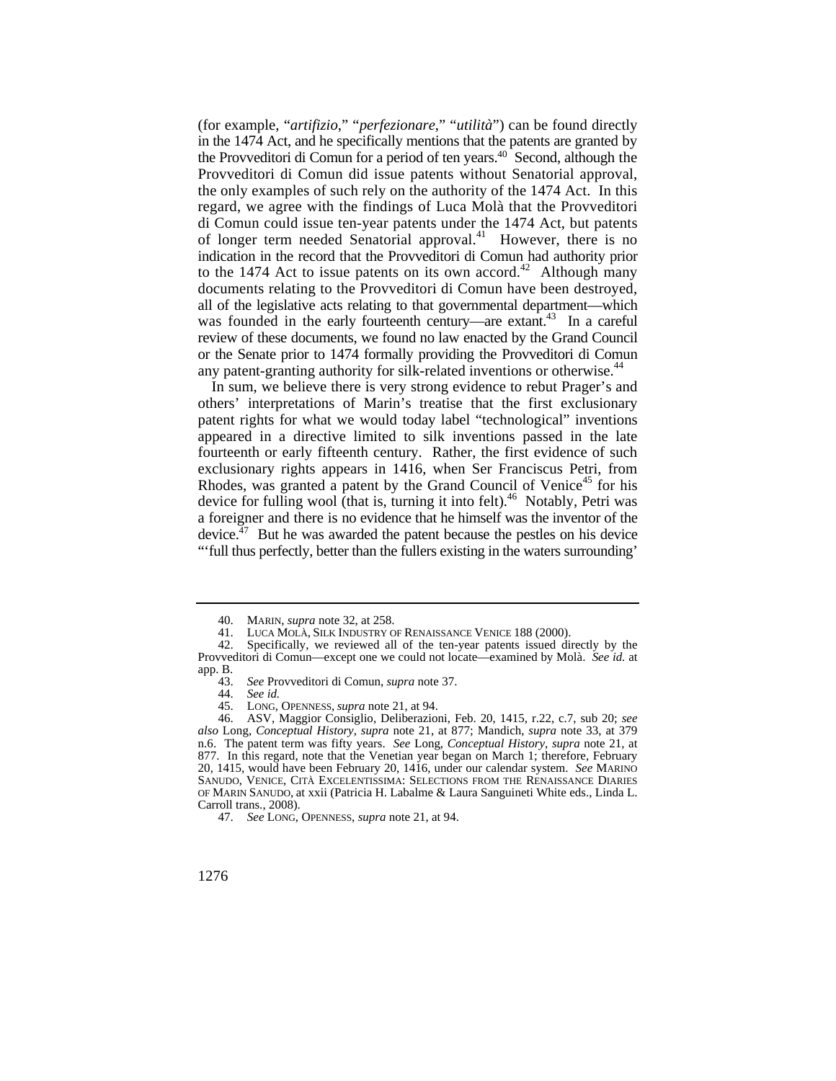the Provveditori di Comun for a period of ten years.<sup>40</sup> Second, although the di Comun could issue ten-year patents under the 1474 Act, but patents (for example, "*artifizio*," "*perfezionare*," "*utilità*") can be found directly in the 1474 Act, and he specifically mentions that the patents are granted by Provveditori di Comun did issue patents without Senatorial approval, the only examples of such rely on the authority of the 1474 Act. In this regard, we agree with the findings of Luca Molà that the Provveditori of longer term needed Senatorial approval.<sup>41</sup> However, there is no indication in the record that the Provveditori di Comun had authority prior to the 1474 Act to issue patents on its own accord.<sup>42</sup> Although many documents relating to the Provveditori di Comun have been destroyed, all of the legislative acts relating to that governmental department—which was founded in the early fourteenth century—are extant.<sup>43</sup> In a careful review of these documents, we found no law enacted by the Grand Council or the Senate prior to 1474 formally providing the Provveditori di Comun any patent-granting authority for silk-related inventions or otherwise.<sup>44</sup>

 a foreigner and there is no evidence that he himself was the inventor of the In sum, we believe there is very strong evidence to rebut Prager's and others' interpretations of Marin's treatise that the first exclusionary patent rights for what we would today label "technological" inventions appeared in a directive limited to silk inventions passed in the late fourteenth or early fifteenth century. Rather, the first evidence of such exclusionary rights appears in 1416, when Ser Franciscus Petri, from Rhodes, was granted a patent by the Grand Council of Venice<sup>45</sup> for his device for fulling wool (that is, turning it into felt).<sup>46</sup> Notably, Petri was device. $47$  But he was awarded the patent because the pestles on his device "'full thus perfectly, better than the fullers existing in the waters surrounding'

 <sup>40.</sup> MARIN, *supra* note 32, at 258.

 <sup>41.</sup> LUCA MOLÀ, SILK INDUSTRY OF RENAISSANCE VENICE 188 (2000).

<sup>42.</sup> Specifically, we reviewed all of the ten-year patents issued directly by the Provveditori di Comun—except one we could not locate—examined by Molà. *See id.* at app. B.<br>43.

<sup>43.</sup> *See* Provveditori di Comun, *supra* note 37.

<sup>44.</sup> *See id.*

 <sup>45.</sup> LONG, OPENNESS, *supra* note 21, at 94.

 SANUDO, VENICE, CITÀ EXCELENTISSIMA: SELECTIONS FROM THE RENAISSANCE DIARIES 46. ASV, Maggior Consiglio, Deliberazioni, Feb. 20, 1415, r.22, c.7, sub 20; *see also* Long, *Conceptual History*, *supra* note 21, at 877; Mandich, *supra* note 33, at 379 n.6. The patent term was fifty years. *See* Long, *Conceptual History*, *supra* note 21, at 877. In this regard, note that the Venetian year began on March 1; therefore, February 20, 1415, would have been February 20, 1416, under our calendar system. *See* MARINO OF MARIN SANUDO, at xxii (Patricia H. Labalme & Laura Sanguineti White eds., Linda L. Carroll trans., 2008).

<sup>47.</sup> *See* LONG, OPENNESS, *supra* note 21, at 94.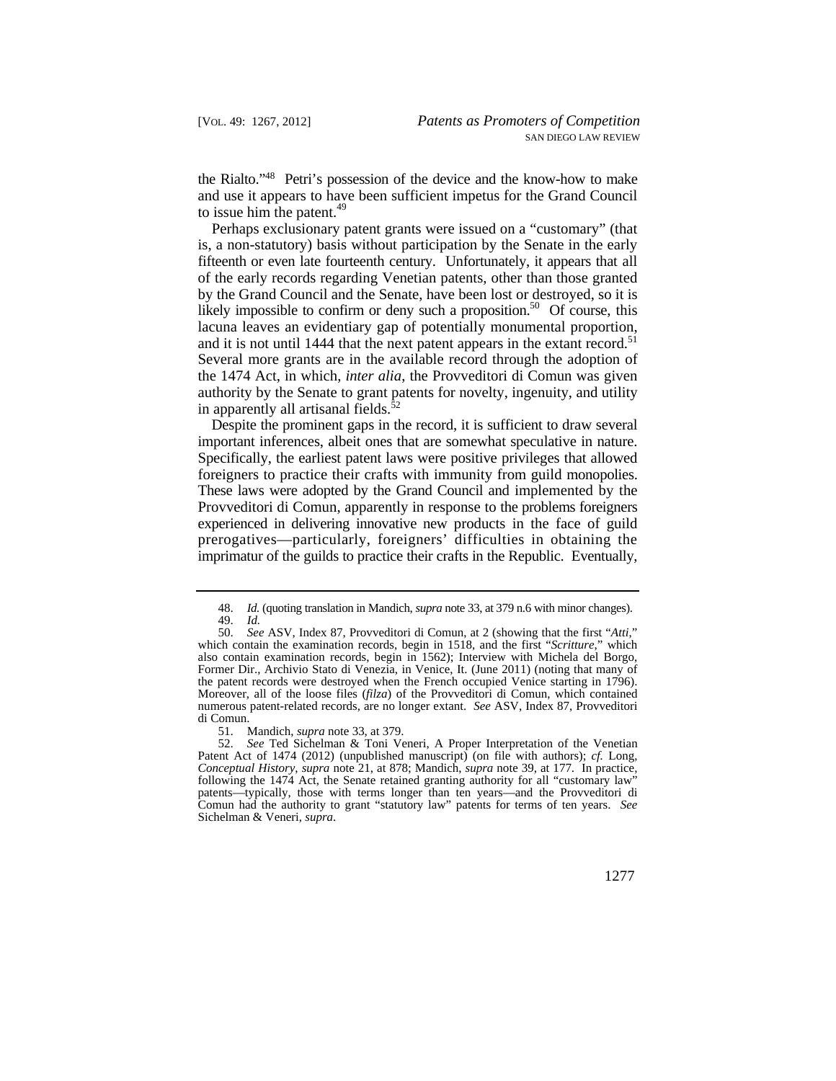the Rialto."48 Petri's possession of the device and the know-how to make and use it appears to have been sufficient impetus for the Grand Council to issue him the patent. $49$ 

 fifteenth or even late fourteenth century. Unfortunately, it appears that all Perhaps exclusionary patent grants were issued on a "customary" (that is, a non-statutory) basis without participation by the Senate in the early of the early records regarding Venetian patents, other than those granted by the Grand Council and the Senate, have been lost or destroyed, so it is likely impossible to confirm or deny such a proposition.<sup>50</sup> Of course, this lacuna leaves an evidentiary gap of potentially monumental proportion, and it is not until 1444 that the next patent appears in the extant record.<sup>51</sup> Several more grants are in the available record through the adoption of the 1474 Act, in which, *inter alia*, the Provveditori di Comun was given authority by the Senate to grant patents for novelty, ingenuity, and utility in apparently all artisanal fields.<sup>52</sup>

important inferences, albeit ones that are somewhat speculative in nature. foreigners to practice their crafts with immunity from guild monopolies. foreigners to practice their crafts with immunity from guild monopolies. These laws were adopted by the Grand Council and implemented by the Provveditori di Comun, apparently in response to the problems foreigners experienced in delivering innovative new products in the face of guild Despite the prominent gaps in the record, it is sufficient to draw several Specifically, the earliest patent laws were positive privileges that allowed. prerogatives—particularly, foreigners' difficulties in obtaining the imprimatur of the guilds to practice their crafts in the Republic. Eventually,

<sup>48.</sup> *Id.* (quoting translation in Mandich, *supra* note 33, at 379 n.6 with minor changes). 49. *Id.* 

<sup>50.</sup> *See* ASV, Index 87, Provveditori di Comun, at 2 (showing that the first "*Atti*," which contain the examination records, begin in 1518, and the first "*Scritture*," which also contain examination records, begin in 1562); Interview with Michela del Borgo, Former Dir., Archivio Stato di Venezia, in Venice, It. (June 2011) (noting that many of the patent records were destroyed when the French occupied Venice starting in 1796). Moreover, all of the loose files (*filza*) of the Provveditori di Comun, which contained numerous patent-related records, are no longer extant. *See* ASV, Index 87, Provveditori di Comun.

 <sup>51.</sup> Mandich, *supra* note 33, at 379.

<sup>52.</sup> *See* Ted Sichelman & Toni Veneri, A Proper Interpretation of the Venetian Patent Act of 1474 (2012) (unpublished manuscript) (on file with authors); *cf.* Long, *Conceptual History*, *supra* note 21, at 878; Mandich, *supra* note 39, at 177. In practice, following the 1474 Act, the Senate retained granting authority for all "customary law" patents—typically, those with terms longer than ten years—and the Provveditori di Comun had the authority to grant "statutory law" patents for terms of ten years. *See*  Sichelman & Veneri, *supra*.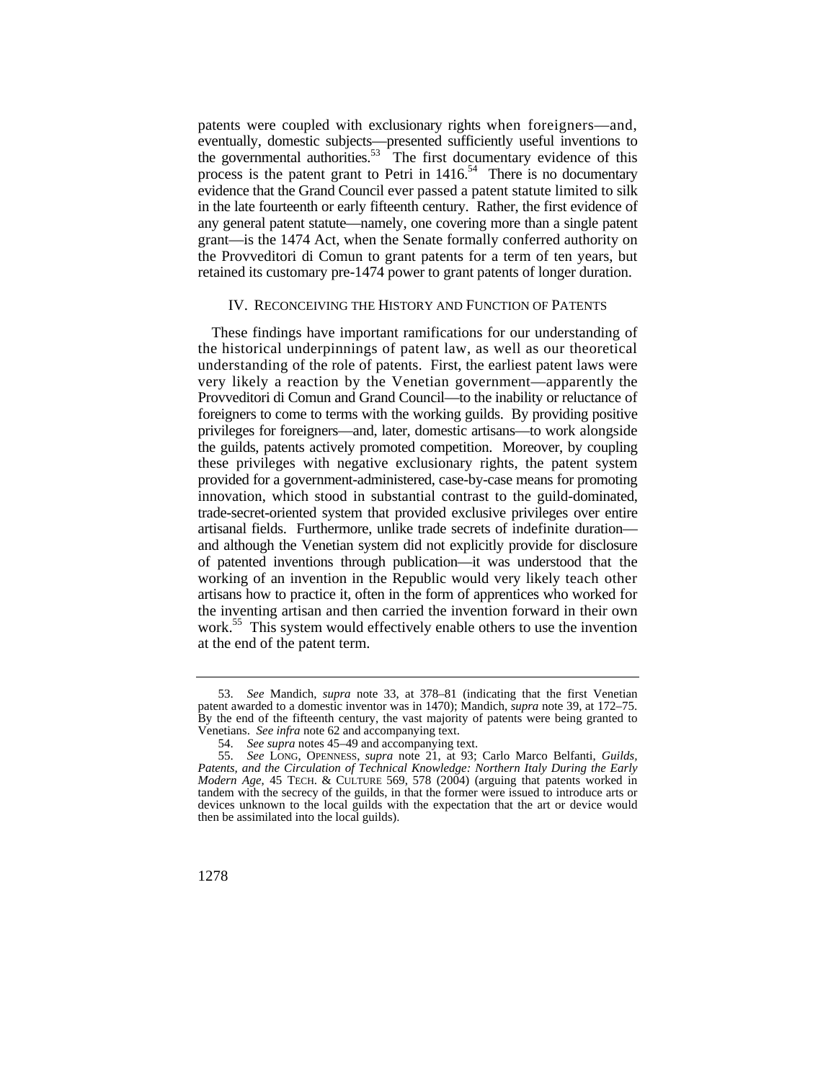patents were coupled with exclusionary rights when foreigners—and, evidence that the Grand Council ever passed a patent statute limited to silk eventually, domestic subjects—presented sufficiently useful inventions to the governmental authorities.<sup>53</sup> The first documentary evidence of this process is the patent grant to Petri in  $1416$ <sup>54</sup>. There is no documentary in the late fourteenth or early fifteenth century. Rather, the first evidence of any general patent statute—namely, one covering more than a single patent grant—is the 1474 Act, when the Senate formally conferred authority on the Provveditori di Comun to grant patents for a term of ten years, but retained its customary pre-1474 power to grant patents of longer duration.

## IV. RECONCEIVING THE HISTORY AND FUNCTION OF PATENTS

 of patented inventions through publication—it was understood that the These findings have important ramifications for our understanding of the historical underpinnings of patent law, as well as our theoretical understanding of the role of patents. First, the earliest patent laws were very likely a reaction by the Venetian government—apparently the Provveditori di Comun and Grand Council—to the inability or reluctance of foreigners to come to terms with the working guilds. By providing positive privileges for foreigners—and, later, domestic artisans—to work alongside the guilds, patents actively promoted competition. Moreover, by coupling these privileges with negative exclusionary rights, the patent system provided for a government-administered, case-by-case means for promoting innovation, which stood in substantial contrast to the guild-dominated, trade-secret-oriented system that provided exclusive privileges over entire artisanal fields. Furthermore, unlike trade secrets of indefinite duration and although the Venetian system did not explicitly provide for disclosure working of an invention in the Republic would very likely teach other artisans how to practice it, often in the form of apprentices who worked for the inventing artisan and then carried the invention forward in their own work.<sup>55</sup> This system would effectively enable others to use the invention at the end of the patent term.

<sup>53.</sup> *See* Mandich, *supra* note 33, at 378–81 (indicating that the first Venetian patent awarded to a domestic inventor was in 1470); Mandich, *supra* note 39, at 172–75. By the end of the fifteenth century, the vast majority of patents were being granted to Venetians. *See infra* note 62 and accompanying text.

<sup>54.</sup> *See supra* notes 45–49 and accompanying text.

 *Modern Age*, 45 TECH. & CULTURE 569, 578 (2004) (arguing that patents worked in 55. *See* LONG, OPENNESS, *supra* note 21, at 93; Carlo Marco Belfanti, *Guilds, Patents, and the Circulation of Technical Knowledge: Northern Italy During the Early*  tandem with the secrecy of the guilds, in that the former were issued to introduce arts or devices unknown to the local guilds with the expectation that the art or device would then be assimilated into the local guilds).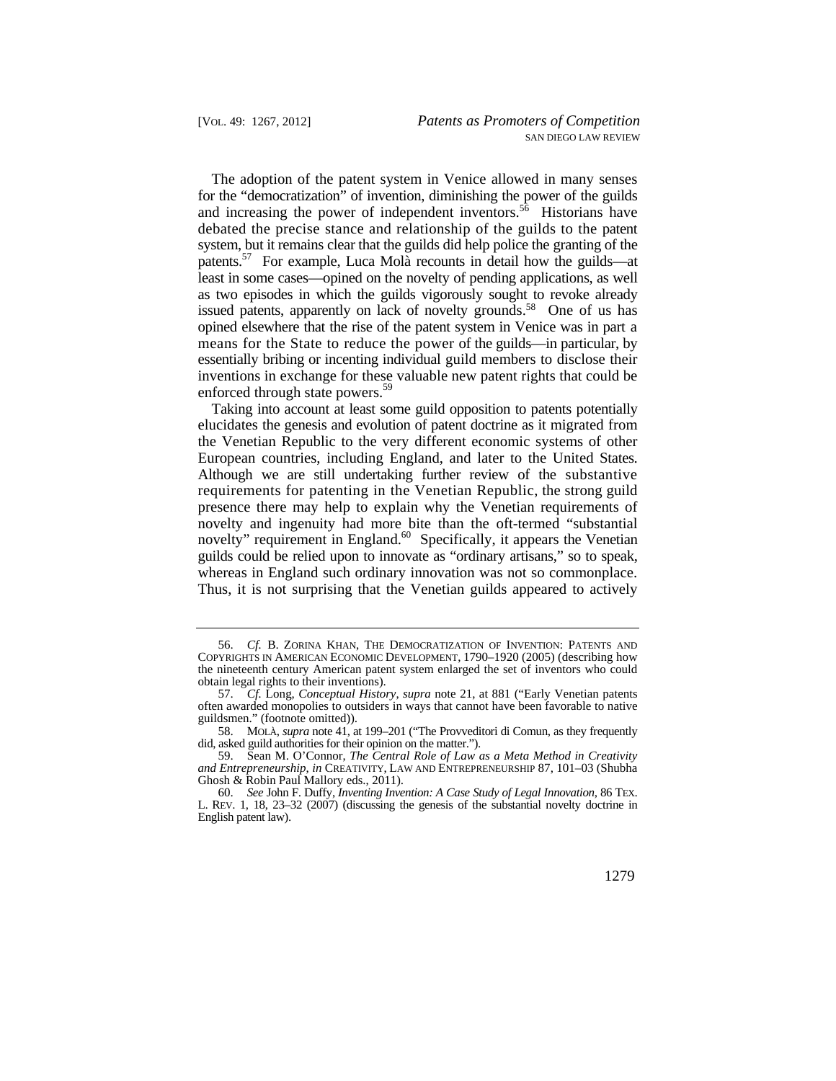means for the State to reduce the power of the guilds—in particular, by The adoption of the patent system in Venice allowed in many senses for the "democratization" of invention, diminishing the power of the guilds and increasing the power of independent inventors.<sup>56</sup> Historians have debated the precise stance and relationship of the guilds to the patent system, but it remains clear that the guilds did help police the granting of the patents.<sup>57</sup> For example, Luca Molà recounts in detail how the guilds—at least in some cases—opined on the novelty of pending applications, as well as two episodes in which the guilds vigorously sought to revoke already issued patents, apparently on lack of novelty grounds.<sup>58</sup> One of us has opined elsewhere that the rise of the patent system in Venice was in part a essentially bribing or incenting individual guild members to disclose their inventions in exchange for these valuable new patent rights that could be enforced through state powers.<sup>59</sup>

 elucidates the genesis and evolution of patent doctrine as it migrated from European countries, including England, and later to the United States. novelty" requirement in England.<sup>60</sup> Specifically, it appears the Venetian whereas in England such ordinary innovation was not so commonplace. Taking into account at least some guild opposition to patents potentially the Venetian Republic to the very different economic systems of other Although we are still undertaking further review of the substantive requirements for patenting in the Venetian Republic, the strong guild presence there may help to explain why the Venetian requirements of novelty and ingenuity had more bite than the oft-termed "substantial guilds could be relied upon to innovate as "ordinary artisans," so to speak, Thus, it is not surprising that the Venetian guilds appeared to actively

<sup>56.</sup> *Cf.* B. ZORINA KHAN, THE DEMOCRATIZATION OF INVENTION: PATENTS AND COPYRIGHTS IN AMERICAN ECONOMIC DEVELOPMENT, 1790–1920 (2005) (describing how the nineteenth century American patent system enlarged the set of inventors who could obtain legal rights to their inventions).

 guildsmen." (footnote omitted)). 57. *Cf.* Long, *Conceptual History*, *supra* note 21, at 881 ("Early Venetian patents often awarded monopolies to outsiders in ways that cannot have been favorable to native

 58. MOLÀ, *supra* note 41, at 199–201 ("The Provveditori di Comun, as they frequently did, asked guild authorities for their opinion on the matter.").

<sup>59.</sup> Sean M. O'Connor, *The Central Role of Law as a Meta Method in Creativity and Entrepreneurship*, *in* CREATIVITY, LAW AND ENTREPRENEURSHIP 87, 101–03 (Shubha Ghosh & Robin Paul Mallory eds., 2011).

<sup>60.</sup> *See* John F. Duffy, *Inventing Invention: A Case Study of Legal Innovation*, 86 TEX. L. REV. 1, 18, 23–32 (2007) (discussing the genesis of the substantial novelty doctrine in English patent law).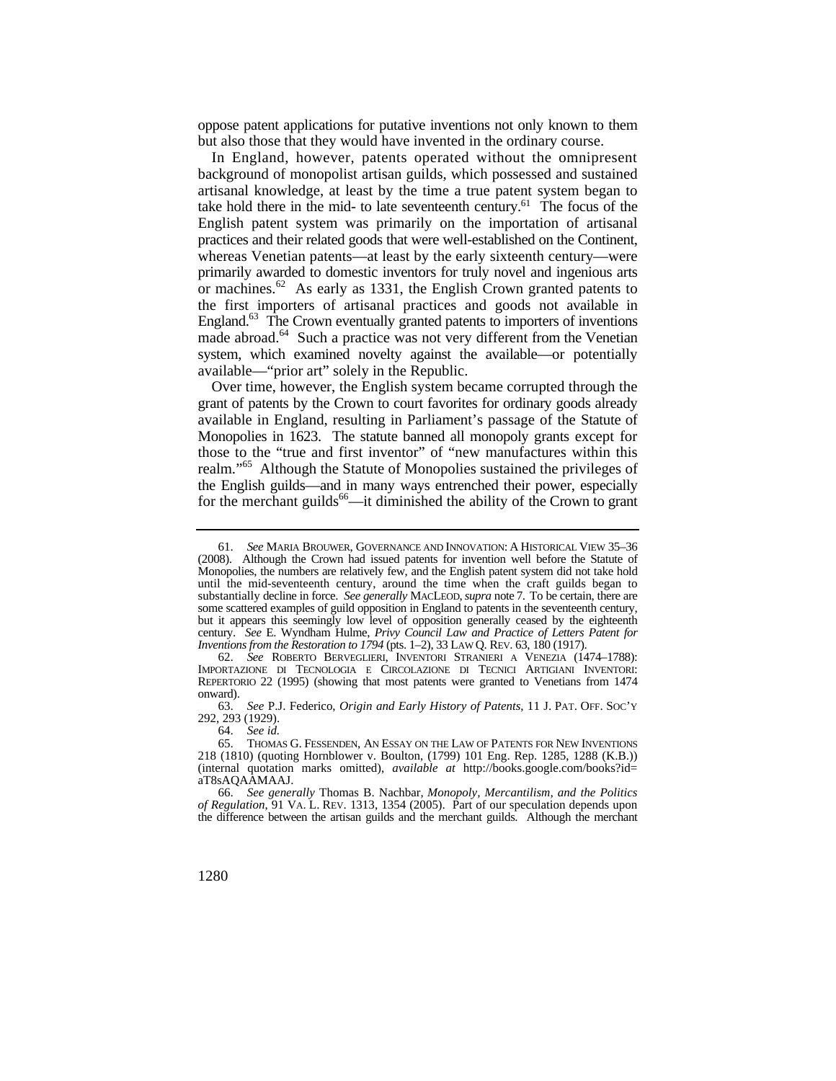oppose patent applications for putative inventions not only known to them but also those that they would have invented in the ordinary course.

 the first importers of artisanal practices and goods not available in made abroad.<sup>64</sup> Such a practice was not very different from the Venetian system, which examined novelty against the available—or potentially In England, however, patents operated without the omnipresent background of monopolist artisan guilds, which possessed and sustained artisanal knowledge, at least by the time a true patent system began to take hold there in the mid- to late seventeenth century.<sup>61</sup> The focus of the English patent system was primarily on the importation of artisanal practices and their related goods that were well-established on the Continent, whereas Venetian patents—at least by the early sixteenth century—were primarily awarded to domestic inventors for truly novel and ingenious arts or machines.<sup>62</sup> As early as 1331, the English Crown granted patents to England.<sup>63</sup> The Crown eventually granted patents to importers of inventions available—"prior art" solely in the Republic.

 available in England, resulting in Parliament's passage of the Statute of Monopolies in 1623. The statute banned all monopoly grants except for for the merchant guilds<sup>66</sup>—it diminished the ability of the Crown to grant Over time, however, the English system became corrupted through the grant of patents by the Crown to court favorites for ordinary goods already those to the "true and first inventor" of "new manufactures within this realm."<sup>65</sup> Although the Statute of Monopolies sustained the privileges of the English guilds—and in many ways entrenched their power, especially

 61. *See* MARIA BROUWER, GOVERNANCE AND INNOVATION: A HISTORICAL VIEW 35–36 substantially decline in force. *See generally* MACLEOD, *supra* note 7. To be certain, there are but it appears this seemingly low level of opposition generally ceased by the eighteenth century. *See* E. Wyndham Hulme, *Privy Council Law and Practice of Letters Patent for*  (2008). Although the Crown had issued patents for invention well before the Statute of Monopolies, the numbers are relatively few, and the English patent system did not take hold until the mid-seventeenth century, around the time when the craft guilds began to some scattered examples of guild opposition in England to patents in the seventeenth century, *Inventions from the Restoration to 1794* (pts. 1–2), 33 LAW Q. REV. 63, 180 (1917).

<sup>62.</sup> *See* ROBERTO BERVEGLIERI, INVENTORI STRANIERI A VENEZIA (1474–1788): IMPORTAZIONE DI TECNOLOGIA E CIRCOLAZIONE DI TECNICI ARTIGIANI INVENTORI: REPERTORIO 22 (1995) (showing that most patents were granted to Venetians from 1474 onward).

 63. *See* P.J. Federico, *Origin and Early History of Patents*, 11 J. PAT. OFF. SOC'Y 292, 293 (1929).

<sup>64.</sup> *See id.*

 <sup>65.</sup> THOMAS G. FESSENDEN, AN ESSAY ON THE LAW OF PATENTS FOR NEW INVENTIONS 218 (1810) (quoting Hornblower v. Boulton, (1799) 101 Eng. Rep. 1285, 1288 (K.B.)) (internal quotation marks omitted), *available at* http://books.google.com/books?id= aT8sAQAAMAAJ.

 *of Regulation*, 91 VA. L. REV. 1313, 1354 (2005). Part of our speculation depends upon the difference between the artisan guilds and the merchant guilds. Although the merchant 66. *See generally* Thomas B. Nachbar, *Monopoly, Mercantilism, and the Politics*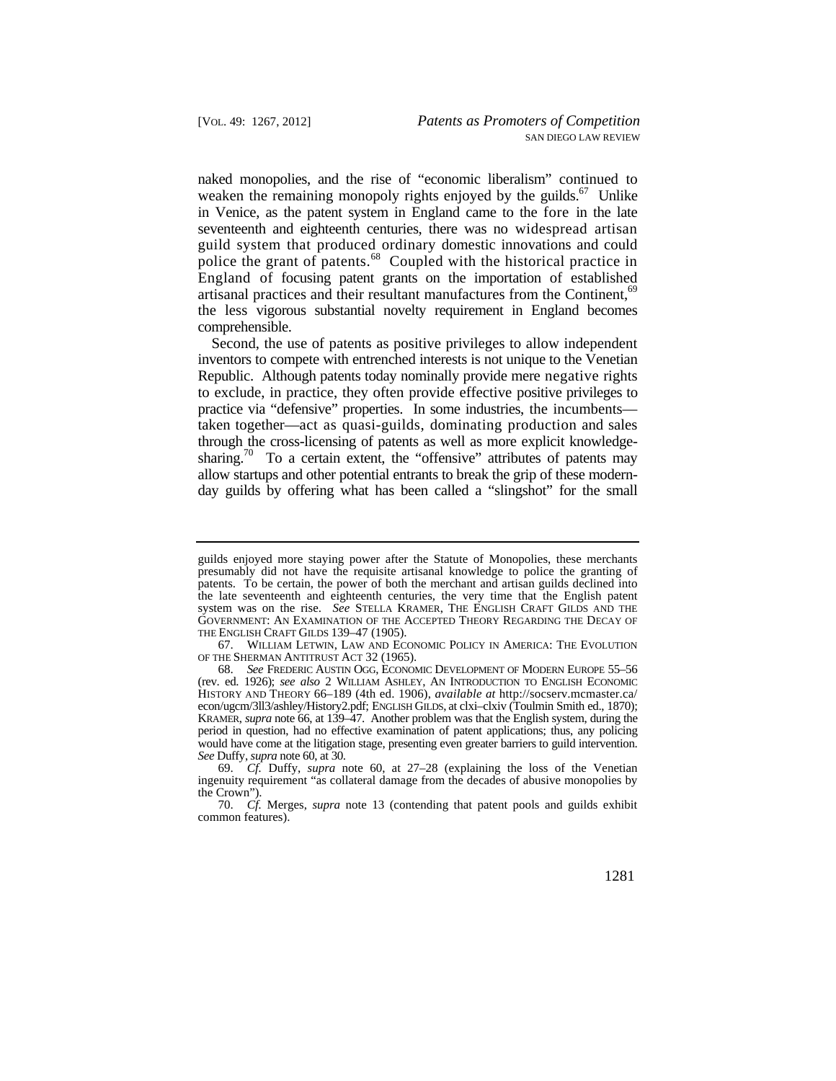naked monopolies, and the rise of "economic liberalism" continued to seventeenth and eighteenth centuries, there was no widespread artisan guild system that produced ordinary domestic innovations and could England of focusing patent grants on the importation of established the less vigorous substantial novelty requirement in England becomes weaken the remaining monopoly rights enjoyed by the guilds.<sup>67</sup> Unlike in Venice, as the patent system in England came to the fore in the late police the grant of patents.<sup>68</sup> Coupled with the historical practice in artisanal practices and their resultant manufactures from the Continent,<sup>69</sup> comprehensible.

 Republic. Although patents today nominally provide mere negative rights to exclude, in practice, they often provide effective positive privileges to taken together—act as quasi-guilds, dominating production and sales Second, the use of patents as positive privileges to allow independent inventors to compete with entrenched interests is not unique to the Venetian practice via "defensive" properties. In some industries, the incumbents through the cross-licensing of patents as well as more explicit knowledgesharing.<sup>70</sup> To a certain extent, the "offensive" attributes of patents may allow startups and other potential entrants to break the grip of these modernday guilds by offering what has been called a "slingshot" for the small

 system was on the rise. *See* STELLA KRAMER, THE ENGLISH CRAFT GILDS AND THE guilds enjoyed more staying power after the Statute of Monopolies, these merchants presumably did not have the requisite artisanal knowledge to police the granting of patents. To be certain, the power of both the merchant and artisan guilds declined into the late seventeenth and eighteenth centuries, the very time that the English patent GOVERNMENT: AN EXAMINATION OF THE ACCEPTED THEORY REGARDING THE DECAY OF THE ENGLISH CRAFT GILDS 139–47 (1905).

 <sup>67.</sup> WILLIAM LETWIN, LAW AND ECONOMIC POLICY IN AMERICA: THE EVOLUTION OF THE SHERMAN ANTITRUST ACT 32 (1965).

<sup>68.</sup> *See* FREDERIC AUSTIN OGG, ECONOMIC DEVELOPMENT OF MODERN EUROPE 55–56 (rev. ed. 1926); *see also* 2 WILLIAM ASHLEY, AN INTRODUCTION TO ENGLISH ECONOMIC HISTORY AND THEORY 66–189 (4th ed. 1906), *available at* http://socserv.mcmaster.ca/ econ/ugcm/3ll3/ashley/History2.pdf; ENGLISH GILDS, at clxi–clxiv (Toulmin Smith ed., 1870); KRAMER, *supra* note 66, at 139–47. Another problem was that the English system, during the period in question, had no effective examination of patent applications; thus, any policing would have come at the litigation stage, presenting even greater barriers to guild intervention. *See* Duffy, *supra* note 60, at 30.

<sup>69.</sup> *Cf.* Duffy, *supra* note 60, at 27–28 (explaining the loss of the Venetian ingenuity requirement "as collateral damage from the decades of abusive monopolies by the Crown").

<sup>70.</sup> *Cf.* Merges, *supra* note 13 (contending that patent pools and guilds exhibit common features).